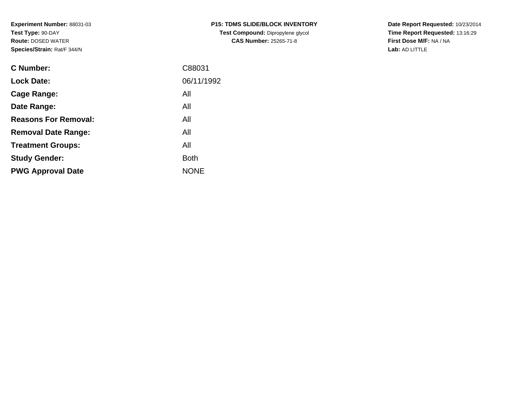**Experiment Number:** 88031-03**Test Type:** 90-DAY **Route:** DOSED WATER**Species/Strain:** Rat/F 344/N

| <b>C Number:</b>            | C88031      |
|-----------------------------|-------------|
| <b>Lock Date:</b>           | 06/11/1992  |
| <b>Cage Range:</b>          | All         |
| Date Range:                 | All         |
| <b>Reasons For Removal:</b> | All         |
| <b>Removal Date Range:</b>  | All         |
| <b>Treatment Groups:</b>    | All         |
| <b>Study Gender:</b>        | <b>Both</b> |
| <b>PWG Approval Date</b>    | <b>NONE</b> |
|                             |             |

**P15: TDMS SLIDE/BLOCK INVENTORYTest Compound:** Dipropylene glycol **CAS Number:** 25265-71-8

**Date Report Requested:** 10/23/2014 **Time Report Requested:** 13:16:29**First Dose M/F:** NA / NA**Lab:** AD LITTLE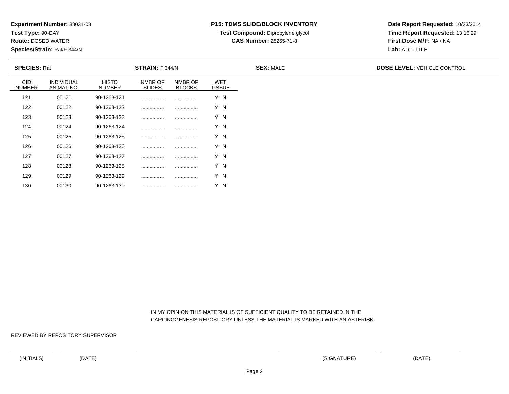**Test Type:** 90-DAY

130

**Route:** DOSED WATER

**Species/Strain:** Rat/F 344/N

# **P15: TDMS SLIDE/BLOCK INVENTORY**

**Test Compound:** Dipropylene glycol

**CAS Number:** 25265-71-8

**Date Report Requested:** 10/23/2014**Time Report Requested:** 13:16:29**First Dose M/F:** NA / NA**Lab:** AD LITTLE

| <b>SPECIES: Rat</b>         |                                 |                        | <b>STRAIN:</b> F 344/N   |                          |                             | <b>SEX: MALE</b> | <b>DOSE LEVEL: VEHICLE CONTROL</b> |
|-----------------------------|---------------------------------|------------------------|--------------------------|--------------------------|-----------------------------|------------------|------------------------------------|
| <b>CID</b><br><b>NUMBER</b> | <b>INDIVIDUAL</b><br>ANIMAL NO. | <b>HISTO</b><br>NUMBER | NMBR OF<br><b>SLIDES</b> | NMBR OF<br><b>BLOCKS</b> | <b>WET</b><br><b>TISSUE</b> |                  |                                    |
| 121                         | 00121                           | 90-1263-121            |                          |                          | Y N                         |                  |                                    |
| 122                         | 00122                           | 90-1263-122            |                          |                          | Y N                         |                  |                                    |
| 123                         | 00123                           | 90-1263-123            |                          |                          | Y N                         |                  |                                    |
| 124                         | 00124                           | 90-1263-124            |                          |                          | Y N                         |                  |                                    |
| 125                         | 00125                           | 90-1263-125            |                          |                          | Y N                         |                  |                                    |
| 126                         | 00126                           | 90-1263-126            |                          |                          | Y N                         |                  |                                    |
| 127                         | 00127                           | 90-1263-127            |                          |                          | Y N                         |                  |                                    |
| 128                         | 00128                           | 90-1263-128            |                          |                          | Y N                         |                  |                                    |
| 129                         | 00129                           | 90-1263-129            |                          |                          | Y N                         |                  |                                    |

 IN MY OPINION THIS MATERIAL IS OF SUFFICIENT QUALITY TO BE RETAINED IN THECARCINOGENESIS REPOSITORY UNLESS THE MATERIAL IS MARKED WITH AN ASTERISK

REVIEWED BY REPOSITORY SUPERVISOR

<sup>00130</sup> 90-1263-130 ................ ................ Y N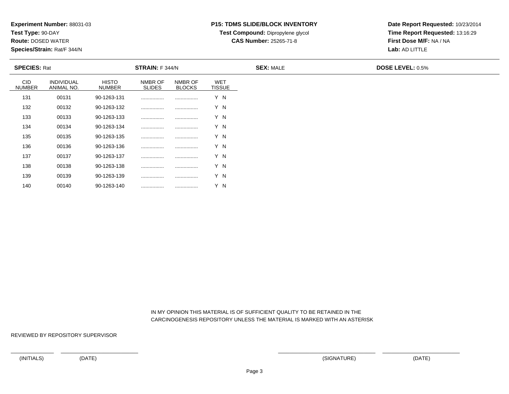**Test Type:** 90-DAY

140

**Route:** DOSED WATER

**Species/Strain:** Rat/F 344/N

## **P15: TDMS SLIDE/BLOCK INVENTORY**

**Test Compound:** Dipropylene glycol

**CAS Number:** 25265-71-8

**Date Report Requested:** 10/23/2014**Time Report Requested:** 13:16:29**First Dose M/F:** NA / NA**Lab:** AD LITTLE

| <b>SPECIES: Rat</b>         |                                 |                               | <b>STRAIN:</b> F 344/N   |                          |                             | <b>SEX: MALE</b> | <b>DOSE LEVEL: 0.5%</b> |
|-----------------------------|---------------------------------|-------------------------------|--------------------------|--------------------------|-----------------------------|------------------|-------------------------|
| <b>CID</b><br><b>NUMBER</b> | <b>INDIVIDUAL</b><br>ANIMAL NO. | <b>HISTO</b><br><b>NUMBER</b> | NMBR OF<br><b>SLIDES</b> | NMBR OF<br><b>BLOCKS</b> | <b>WET</b><br><b>TISSUE</b> |                  |                         |
| 131                         | 00131                           | 90-1263-131                   |                          |                          | Y N                         |                  |                         |
| 132                         | 00132                           | 90-1263-132                   |                          |                          | Y N                         |                  |                         |
| 133                         | 00133                           | 90-1263-133                   |                          |                          | Y N                         |                  |                         |
| 134                         | 00134                           | 90-1263-134                   |                          |                          | Y N                         |                  |                         |
| 135                         | 00135                           | 90-1263-135                   |                          |                          | Y N                         |                  |                         |
| 136                         | 00136                           | 90-1263-136                   |                          |                          | Y N                         |                  |                         |
| 137                         | 00137                           | 90-1263-137                   |                          |                          | Y N                         |                  |                         |
| 138                         | 00138                           | 90-1263-138                   |                          |                          | Y N                         |                  |                         |
| 139                         | 00139                           | 90-1263-139                   |                          |                          | Y N                         |                  |                         |

 IN MY OPINION THIS MATERIAL IS OF SUFFICIENT QUALITY TO BE RETAINED IN THECARCINOGENESIS REPOSITORY UNLESS THE MATERIAL IS MARKED WITH AN ASTERISK

REVIEWED BY REPOSITORY SUPERVISOR

<sup>00140</sup> 90-1263-140 ................ ................ Y N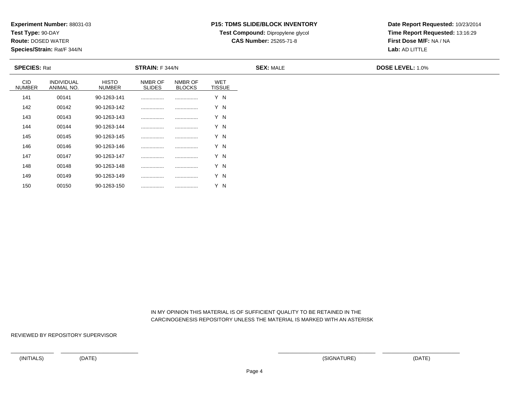**Test Type:** 90-DAY

150

**Route:** DOSED WATER

**Species/Strain:** Rat/F 344/N

# **P15: TDMS SLIDE/BLOCK INVENTORY**

**Test Compound:** Dipropylene glycol **CAS Number:** 25265-71-8

**Date Report Requested:** 10/23/2014**Time Report Requested:** 13:16:29**First Dose M/F:** NA / NA**Lab:** AD LITTLE

| <b>SPECIES: Rat</b>         |                                 |                               | <b>STRAIN:</b> F 344/N   |                          |                             | <b>SEX: MALE</b> | <b>DOSE LEVEL: 1.0%</b> |
|-----------------------------|---------------------------------|-------------------------------|--------------------------|--------------------------|-----------------------------|------------------|-------------------------|
| <b>CID</b><br><b>NUMBER</b> | <b>INDIVIDUAL</b><br>ANIMAL NO. | <b>HISTO</b><br><b>NUMBER</b> | NMBR OF<br><b>SLIDES</b> | NMBR OF<br><b>BLOCKS</b> | <b>WET</b><br><b>TISSUE</b> |                  |                         |
| 141                         | 00141                           | 90-1263-141                   |                          |                          | Y N                         |                  |                         |
| 142                         | 00142                           | 90-1263-142                   |                          |                          | Y N                         |                  |                         |
| 143                         | 00143                           | 90-1263-143                   |                          |                          | Y N                         |                  |                         |
| 144                         | 00144                           | 90-1263-144                   |                          |                          | Y N                         |                  |                         |
| 145                         | 00145                           | 90-1263-145                   |                          |                          | Y N                         |                  |                         |
| 146                         | 00146                           | 90-1263-146                   |                          |                          | Y N                         |                  |                         |
| 147                         | 00147                           | 90-1263-147                   |                          |                          | Y N                         |                  |                         |
| 148                         | 00148                           | 90-1263-148                   |                          |                          | Y N                         |                  |                         |
| 149                         | 00149                           | 90-1263-149                   |                          |                          | Y N                         |                  |                         |

 IN MY OPINION THIS MATERIAL IS OF SUFFICIENT QUALITY TO BE RETAINED IN THECARCINOGENESIS REPOSITORY UNLESS THE MATERIAL IS MARKED WITH AN ASTERISK

REVIEWED BY REPOSITORY SUPERVISOR

<sup>00150</sup> 90-1263-150 ................ ................ Y N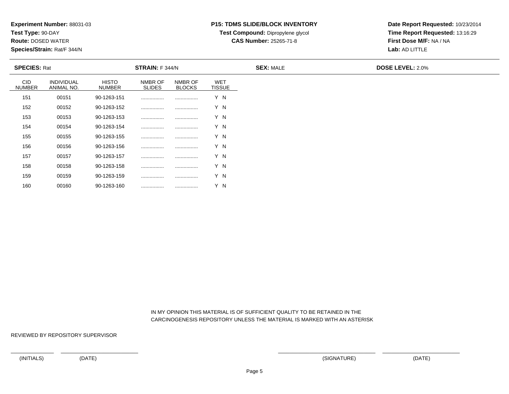**Test Type:** 90-DAY

160

**Route:** DOSED WATER

**Species/Strain:** Rat/F 344/N

## **P15: TDMS SLIDE/BLOCK INVENTORY**

**Test Compound:** Dipropylene glycol **CAS Number:** 25265-71-8

**Date Report Requested:** 10/23/2014**Time Report Requested:** 13:16:29**First Dose M/F:** NA / NA**Lab:** AD LITTLE

| <b>SPECIES: Rat</b>         |                          |                               | STRAIN: F 344/N          |                          |                             | <b>SEX: MALE</b> | <b>DOSE LEVEL: 2.0%</b> |
|-----------------------------|--------------------------|-------------------------------|--------------------------|--------------------------|-----------------------------|------------------|-------------------------|
| <b>CID</b><br><b>NUMBER</b> | INDIVIDUAL<br>ANIMAL NO. | <b>HISTO</b><br><b>NUMBER</b> | NMBR OF<br><b>SLIDES</b> | NMBR OF<br><b>BLOCKS</b> | <b>WET</b><br><b>TISSUE</b> |                  |                         |
| 151                         | 00151                    | 90-1263-151                   |                          | .                        | Y N                         |                  |                         |
| 152                         | 00152                    | 90-1263-152                   |                          |                          | Y N                         |                  |                         |
| 153                         | 00153                    | 90-1263-153                   |                          |                          | Y N                         |                  |                         |
| 154                         | 00154                    | 90-1263-154                   |                          |                          | Y N                         |                  |                         |
| 155                         | 00155                    | 90-1263-155                   |                          |                          | Y N                         |                  |                         |
| 156                         | 00156                    | 90-1263-156                   |                          |                          | Y N                         |                  |                         |
| 157                         | 00157                    | 90-1263-157                   | .                        |                          | Y N                         |                  |                         |
| 158                         | 00158                    | 90-1263-158                   |                          |                          | Y N                         |                  |                         |
| 159                         | 00159                    | 90-1263-159                   |                          |                          | Y N                         |                  |                         |

 IN MY OPINION THIS MATERIAL IS OF SUFFICIENT QUALITY TO BE RETAINED IN THECARCINOGENESIS REPOSITORY UNLESS THE MATERIAL IS MARKED WITH AN ASTERISK

REVIEWED BY REPOSITORY SUPERVISOR

<sup>00160</sup> 90-1263-160 ................ ................ Y N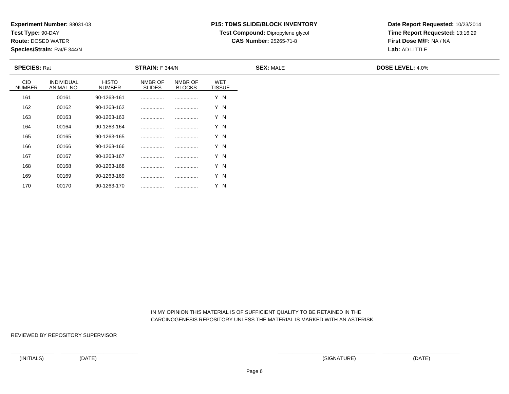**Test Type:** 90-DAY

170

**Route:** DOSED WATER

**Species/Strain:** Rat/F 344/N

## **P15: TDMS SLIDE/BLOCK INVENTORY**

**Test Compound:** Dipropylene glycol **CAS Number:** 25265-71-8

**Date Report Requested:** 10/23/2014**Time Report Requested:** 13:16:29**First Dose M/F:** NA / NA**Lab:** AD LITTLE

| <b>SPECIES: Rat</b>         |                                 |                               | STRAIN: F 344/N          |                          |                             | <b>SEX: MALE</b> | <b>DOSE LEVEL: 4.0%</b> |
|-----------------------------|---------------------------------|-------------------------------|--------------------------|--------------------------|-----------------------------|------------------|-------------------------|
| <b>CID</b><br><b>NUMBER</b> | <b>INDIVIDUAL</b><br>ANIMAL NO. | <b>HISTO</b><br><b>NUMBER</b> | NMBR OF<br><b>SLIDES</b> | NMBR OF<br><b>BLOCKS</b> | <b>WET</b><br><b>TISSUE</b> |                  |                         |
| 161                         | 00161                           | 90-1263-161                   |                          | .                        | Y N                         |                  |                         |
| 162                         | 00162                           | 90-1263-162                   |                          |                          | Y N                         |                  |                         |
| 163                         | 00163                           | 90-1263-163                   |                          |                          | Y N                         |                  |                         |
| 164                         | 00164                           | 90-1263-164                   |                          |                          | Y N                         |                  |                         |
| 165                         | 00165                           | 90-1263-165                   |                          |                          | Y N                         |                  |                         |
| 166                         | 00166                           | 90-1263-166                   |                          |                          | Y N                         |                  |                         |
| 167                         | 00167                           | 90-1263-167                   | .                        |                          | Y N                         |                  |                         |
| 168                         | 00168                           | 90-1263-168                   |                          |                          | Y N                         |                  |                         |
| 169                         | 00169                           | 90-1263-169                   |                          |                          | Y N                         |                  |                         |

 IN MY OPINION THIS MATERIAL IS OF SUFFICIENT QUALITY TO BE RETAINED IN THECARCINOGENESIS REPOSITORY UNLESS THE MATERIAL IS MARKED WITH AN ASTERISK

REVIEWED BY REPOSITORY SUPERVISOR

<sup>00170</sup> 90-1263-170 ................ ................ Y N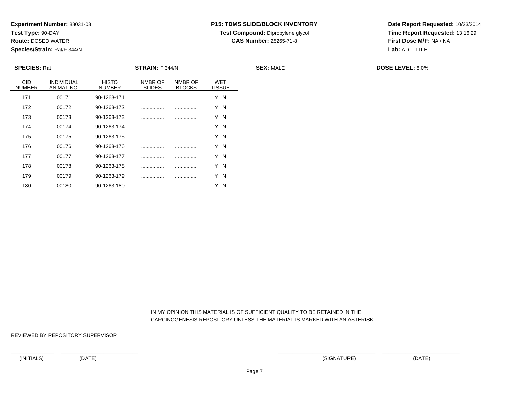**Test Type:** 90-DAY

180

**Route:** DOSED WATER

**Species/Strain:** Rat/F 344/N

# **P15: TDMS SLIDE/BLOCK INVENTORY**

**Test Compound:** Dipropylene glycol

**CAS Number:** 25265-71-8

**Date Report Requested:** 10/23/2014**Time Report Requested:** 13:16:29**First Dose M/F:** NA / NA**Lab:** AD LITTLE

| <b>SPECIES: Rat</b>         |                          |                               | <b>STRAIN: F 344/N</b>   |                          |                             | <b>SEX: MALE</b> | <b>DOSE LEVEL: 8.0%</b> |  |  |
|-----------------------------|--------------------------|-------------------------------|--------------------------|--------------------------|-----------------------------|------------------|-------------------------|--|--|
| <b>CID</b><br><b>NUMBER</b> | INDIVIDUAL<br>ANIMAL NO. | <b>HISTO</b><br><b>NUMBER</b> | NMBR OF<br><b>SLIDES</b> | NMBR OF<br><b>BLOCKS</b> | <b>WET</b><br><b>TISSUE</b> |                  |                         |  |  |
| 171                         | 00171                    | 90-1263-171                   |                          |                          | Y N                         |                  |                         |  |  |
| 172                         | 00172                    | 90-1263-172                   | .                        |                          | Y N                         |                  |                         |  |  |
| 173                         | 00173                    | 90-1263-173                   |                          |                          | Y N                         |                  |                         |  |  |
| 174                         | 00174                    | 90-1263-174                   | .                        |                          | Y N                         |                  |                         |  |  |
| 175                         | 00175                    | 90-1263-175                   |                          |                          | Y N                         |                  |                         |  |  |
| 176                         | 00176                    | 90-1263-176                   | .                        |                          | Y N                         |                  |                         |  |  |
| 177                         | 00177                    | 90-1263-177                   |                          |                          | Y N                         |                  |                         |  |  |
| 178                         | 00178                    | 90-1263-178                   | .                        |                          | Y N                         |                  |                         |  |  |
| 179                         | 00179                    | 90-1263-179                   |                          |                          | Y N                         |                  |                         |  |  |

 IN MY OPINION THIS MATERIAL IS OF SUFFICIENT QUALITY TO BE RETAINED IN THECARCINOGENESIS REPOSITORY UNLESS THE MATERIAL IS MARKED WITH AN ASTERISK

REVIEWED BY REPOSITORY SUPERVISOR

<sup>00180</sup> 90-1263-180 ................ ................ Y N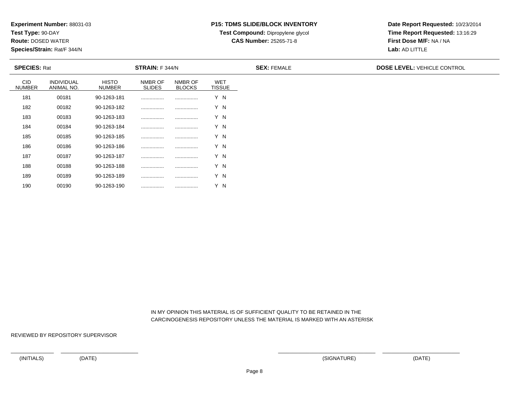**Test Type:** 90-DAY

190

**Route:** DOSED WATER

**Species/Strain:** Rat/F 344/N

# **P15: TDMS SLIDE/BLOCK INVENTORY**

**Test Compound:** Dipropylene glycol

**CAS Number:** 25265-71-8

**Date Report Requested:** 10/23/2014**Time Report Requested:** 13:16:29**First Dose M/F:** NA / NA**Lab:** AD LITTLE

| <b>SPECIES: Rat</b>         |                                 |                               | STRAIN: F 344/N          |                          |                             | <b>SEX: FEMALE</b> | <b>DOSE LEVEL: VEHICLE CONTROL</b> |
|-----------------------------|---------------------------------|-------------------------------|--------------------------|--------------------------|-----------------------------|--------------------|------------------------------------|
| <b>CID</b><br><b>NUMBER</b> | <b>INDIVIDUAL</b><br>ANIMAL NO. | <b>HISTO</b><br><b>NUMBER</b> | NMBR OF<br><b>SLIDES</b> | NMBR OF<br><b>BLOCKS</b> | <b>WET</b><br><b>TISSUE</b> |                    |                                    |
| 181                         | 00181                           | 90-1263-181                   |                          |                          | Y N                         |                    |                                    |
| 182                         | 00182                           | 90-1263-182                   |                          |                          | Y N                         |                    |                                    |
| 183                         | 00183                           | 90-1263-183                   |                          |                          | Y N                         |                    |                                    |
| 184                         | 00184                           | 90-1263-184                   |                          |                          | Y N                         |                    |                                    |
| 185                         | 00185                           | 90-1263-185                   |                          |                          | Y N                         |                    |                                    |
| 186                         | 00186                           | 90-1263-186                   |                          |                          | Y N                         |                    |                                    |
| 187                         | 00187                           | 90-1263-187                   |                          |                          | Y N                         |                    |                                    |
| 188                         | 00188                           | 90-1263-188                   |                          |                          | Y N                         |                    |                                    |
| 189                         | 00189                           | 90-1263-189                   | .                        |                          | Y N                         |                    |                                    |

 IN MY OPINION THIS MATERIAL IS OF SUFFICIENT QUALITY TO BE RETAINED IN THECARCINOGENESIS REPOSITORY UNLESS THE MATERIAL IS MARKED WITH AN ASTERISK

REVIEWED BY REPOSITORY SUPERVISOR

<sup>00190</sup> 90-1263-190 ................ ................ Y N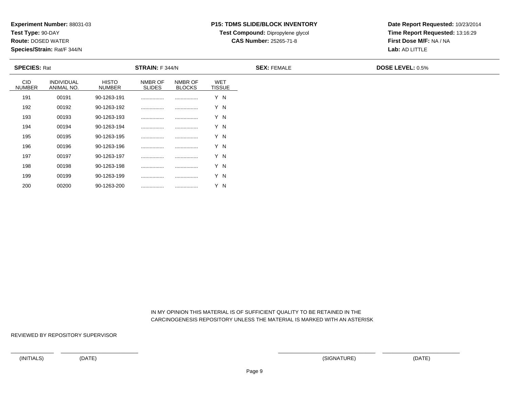**Test Type:** 90-DAY

200

**Route:** DOSED WATER

**Species/Strain:** Rat/F 344/N

### **P15: TDMS SLIDE/BLOCK INVENTORY**

**Test Compound:** Dipropylene glycol

**CAS Number:** 25265-71-8

**Date Report Requested:** 10/23/2014**Time Report Requested:** 13:16:29**First Dose M/F:** NA / NA**Lab:** AD LITTLE

| <b>SPECIES: Rat</b>         |                                 |                               | <b>STRAIN: F 344/N</b>   |                          |                             | <b>SEX: FEMALE</b> | <b>DOSE LEVEL: 0.5%</b> |
|-----------------------------|---------------------------------|-------------------------------|--------------------------|--------------------------|-----------------------------|--------------------|-------------------------|
| <b>CID</b><br><b>NUMBER</b> | <b>INDIVIDUAL</b><br>ANIMAL NO. | <b>HISTO</b><br><b>NUMBER</b> | NMBR OF<br><b>SLIDES</b> | NMBR OF<br><b>BLOCKS</b> | <b>WET</b><br><b>TISSUE</b> |                    |                         |
| 191                         | 00191                           | 90-1263-191                   |                          |                          | Y N                         |                    |                         |
| 192                         | 00192                           | 90-1263-192                   |                          |                          | Y N                         |                    |                         |
| 193                         | 00193                           | 90-1263-193                   |                          |                          | Y N                         |                    |                         |
| 194                         | 00194                           | 90-1263-194                   |                          |                          | Y N                         |                    |                         |
| 195                         | 00195                           | 90-1263-195                   |                          |                          | Y N                         |                    |                         |
| 196                         | 00196                           | 90-1263-196                   |                          |                          | Y N                         |                    |                         |
| 197                         | 00197                           | 90-1263-197                   |                          |                          | Y N                         |                    |                         |
| 198                         | 00198                           | 90-1263-198                   |                          |                          | Y N                         |                    |                         |
| 199                         | 00199                           | 90-1263-199                   |                          | .                        | Y N                         |                    |                         |

 IN MY OPINION THIS MATERIAL IS OF SUFFICIENT QUALITY TO BE RETAINED IN THECARCINOGENESIS REPOSITORY UNLESS THE MATERIAL IS MARKED WITH AN ASTERISK

REVIEWED BY REPOSITORY SUPERVISOR

<sup>00200</sup> 90-1263-200 ................ ................ Y N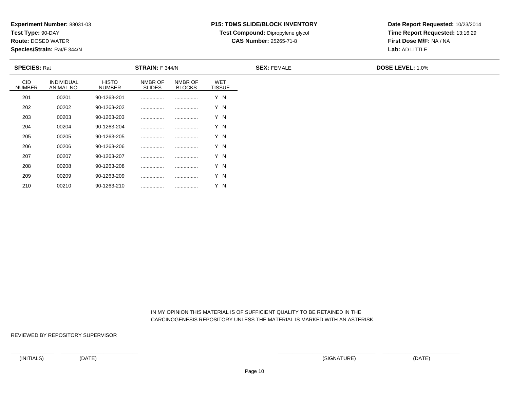**Test Type:** 90-DAY

210

**Route:** DOSED WATER

**Species/Strain:** Rat/F 344/N

## **P15: TDMS SLIDE/BLOCK INVENTORY**

**Test Compound:** Dipropylene glycol

**CAS Number:** 25265-71-8

**Date Report Requested:** 10/23/2014**Time Report Requested:** 13:16:29**First Dose M/F:** NA / NA**Lab:** AD LITTLE

| <b>SPECIES: Rat</b>         |                                 |                               | <b>STRAIN:</b> F 344/N   |                          |                             | <b>SEX: FEMALE</b> | <b>DOSE LEVEL: 1.0%</b> |
|-----------------------------|---------------------------------|-------------------------------|--------------------------|--------------------------|-----------------------------|--------------------|-------------------------|
| <b>CID</b><br><b>NUMBER</b> | <b>INDIVIDUAL</b><br>ANIMAL NO. | <b>HISTO</b><br><b>NUMBER</b> | NMBR OF<br><b>SLIDES</b> | NMBR OF<br><b>BLOCKS</b> | <b>WET</b><br><b>TISSUE</b> |                    |                         |
| 201                         | 00201                           | 90-1263-201                   |                          |                          | Y N                         |                    |                         |
| 202                         | 00202                           | 90-1263-202                   |                          |                          | Y N                         |                    |                         |
| 203                         | 00203                           | 90-1263-203                   |                          |                          | Y N                         |                    |                         |
| 204                         | 00204                           | 90-1263-204                   |                          |                          | Y N                         |                    |                         |
| 205                         | 00205                           | 90-1263-205                   |                          |                          | Y N                         |                    |                         |
| 206                         | 00206                           | 90-1263-206                   |                          |                          | Y N                         |                    |                         |
| 207                         | 00207                           | 90-1263-207                   |                          |                          | Y N                         |                    |                         |
| 208                         | 00208                           | 90-1263-208                   |                          | .                        | Y N                         |                    |                         |
| 209                         | 00209                           | 90-1263-209                   |                          |                          | Y N                         |                    |                         |

 IN MY OPINION THIS MATERIAL IS OF SUFFICIENT QUALITY TO BE RETAINED IN THECARCINOGENESIS REPOSITORY UNLESS THE MATERIAL IS MARKED WITH AN ASTERISK

REVIEWED BY REPOSITORY SUPERVISOR

<sup>00210</sup> 90-1263-210 ................ ................ Y N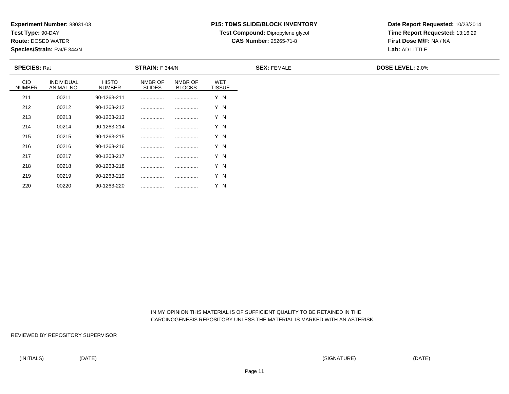**Test Type:** 90-DAY

220

**Route:** DOSED WATER

**Species/Strain:** Rat/F 344/N

## **P15: TDMS SLIDE/BLOCK INVENTORY**

**Test Compound:** Dipropylene glycol

**CAS Number:** 25265-71-8

**Date Report Requested:** 10/23/2014**Time Report Requested:** 13:16:29**First Dose M/F:** NA / NA**Lab:** AD LITTLE

| <b>SPECIES: Rat</b>         |                                 |                               | <b>STRAIN:</b> F 344/N   |                          |                      | <b>SEX: FEMALE</b> | <b>DOSE LEVEL: 2.0%</b> |
|-----------------------------|---------------------------------|-------------------------------|--------------------------|--------------------------|----------------------|--------------------|-------------------------|
| <b>CID</b><br><b>NUMBER</b> | <b>INDIVIDUAL</b><br>ANIMAL NO. | <b>HISTO</b><br><b>NUMBER</b> | NMBR OF<br><b>SLIDES</b> | NMBR OF<br><b>BLOCKS</b> | WET<br><b>TISSUE</b> |                    |                         |
| 211                         | 00211                           | 90-1263-211                   |                          | .                        | Y N                  |                    |                         |
| 212                         | 00212                           | 90-1263-212                   |                          |                          | Y N                  |                    |                         |
| 213                         | 00213                           | 90-1263-213                   |                          |                          | Y N                  |                    |                         |
| 214                         | 00214                           | 90-1263-214                   |                          |                          | Y N                  |                    |                         |
| 215                         | 00215                           | 90-1263-215                   |                          |                          | Y N                  |                    |                         |
| 216                         | 00216                           | 90-1263-216                   |                          |                          | Y N                  |                    |                         |
| 217                         | 00217                           | 90-1263-217                   |                          | .                        | Y N                  |                    |                         |
| 218                         | 00218                           | 90-1263-218                   |                          | .                        | Y N                  |                    |                         |
| 219                         | 00219                           | 90-1263-219                   |                          |                          | Y N                  |                    |                         |

 IN MY OPINION THIS MATERIAL IS OF SUFFICIENT QUALITY TO BE RETAINED IN THECARCINOGENESIS REPOSITORY UNLESS THE MATERIAL IS MARKED WITH AN ASTERISK

REVIEWED BY REPOSITORY SUPERVISOR

<sup>00220</sup> 90-1263-220 ................ ................ Y N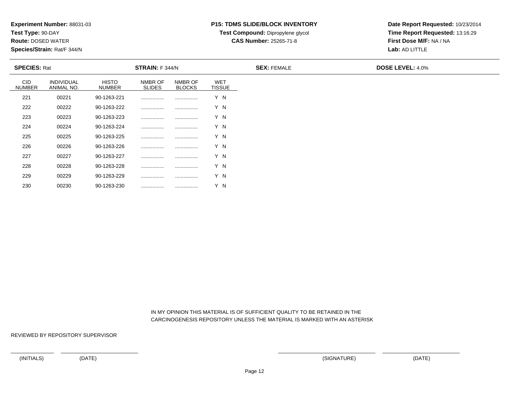**Test Type:** 90-DAY

230

**Route:** DOSED WATER

**Species/Strain:** Rat/F 344/N

#### **P15: TDMS SLIDE/BLOCK INVENTORY**

**Test Compound:** Dipropylene glycol

**CAS Number:** 25265-71-8

**Date Report Requested:** 10/23/2014**Time Report Requested:** 13:16:29**First Dose M/F:** NA / NA**Lab:** AD LITTLE

| <b>SPECIES: Rat</b>         |                                 |                        | <b>STRAIN:</b> F 344/N   |                          |                             | <b>SEX: FEMALE</b> | <b>DOSE LEVEL: 4.0%</b> |
|-----------------------------|---------------------------------|------------------------|--------------------------|--------------------------|-----------------------------|--------------------|-------------------------|
| <b>CID</b><br><b>NUMBER</b> | <b>INDIVIDUAL</b><br>ANIMAL NO. | <b>HISTO</b><br>NUMBER | NMBR OF<br><b>SLIDES</b> | NMBR OF<br><b>BLOCKS</b> | <b>WET</b><br><b>TISSUE</b> |                    |                         |
| 221                         | 00221                           | 90-1263-221            |                          |                          | Y N                         |                    |                         |
| 222                         | 00222                           | 90-1263-222            |                          |                          | Y N                         |                    |                         |
| 223                         | 00223                           | 90-1263-223            |                          |                          | Y N                         |                    |                         |
| 224                         | 00224                           | 90-1263-224            |                          |                          | Y N                         |                    |                         |
| 225                         | 00225                           | 90-1263-225            |                          |                          | Y N                         |                    |                         |
| 226                         | 00226                           | 90-1263-226            |                          |                          | Y N                         |                    |                         |
| 227                         | 00227                           | 90-1263-227            |                          |                          | Y N                         |                    |                         |
| 228                         | 00228                           | 90-1263-228            |                          |                          | Y N                         |                    |                         |
| 229                         | 00229                           | 90-1263-229            |                          |                          | Y N                         |                    |                         |

 IN MY OPINION THIS MATERIAL IS OF SUFFICIENT QUALITY TO BE RETAINED IN THECARCINOGENESIS REPOSITORY UNLESS THE MATERIAL IS MARKED WITH AN ASTERISK

REVIEWED BY REPOSITORY SUPERVISOR

<sup>00230</sup> 90-1263-230 ................ ................ Y N